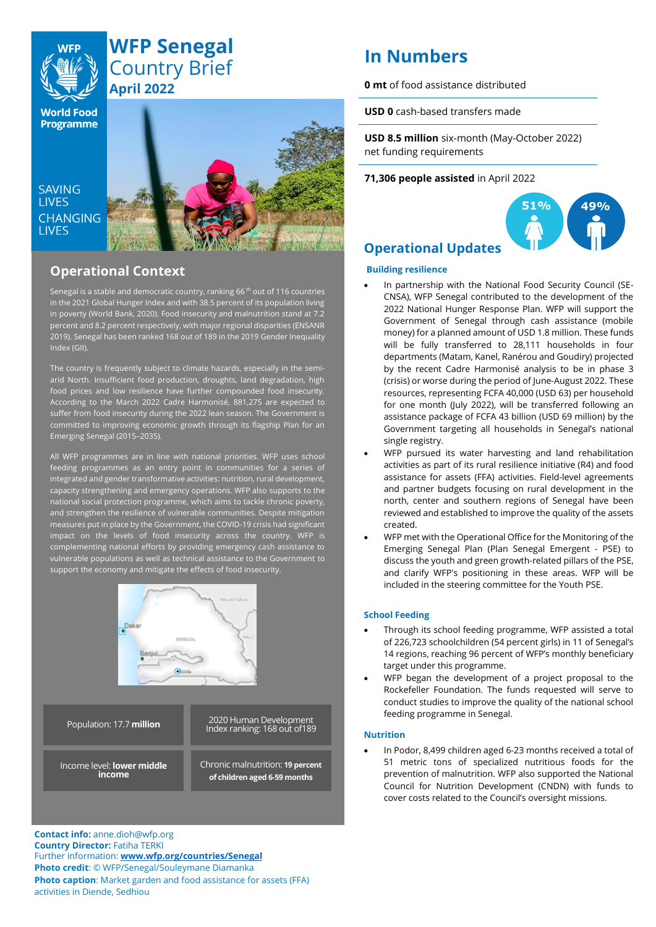

## **WFP Senegal** Country Brief **April 2022**

**World Food Programme** 

SAVING **TIVES CHANGING I IVES** 



## **Operational Context**

Senegal is a stable and democratic country, ranking 66<sup>th</sup> out of 116 countries in the 2021 Global Hunger Index and with 38.5 percent of its population living in poverty (World Bank, 2020). Food insecurity and malnutrition stand at 7.2 percent and 8.2 percent respectively, with major regional disparities (ENSANR 2019). Senegal has been ranked 168 out of 189 in the 2019 Gender Inequality Index (GII).

The country is frequently subject to climate hazards, especially in the semiarid North. Insufficient food production, droughts, land degradation, high food prices and low resilience have further compounded food insecurity. According to the March 2022 Cadre Harmonisé, 881,275 are expected to suffer from food insecurity during the 2022 lean season. The Government is committed to improving economic growth through its flagship Plan for an Emerging Senegal (2015–2035).

All WFP programmes are in line with national priorities. WFP uses school feeding programmes as an entry point in communities for a series of integrated and gender transformative activities: nutrition, rural development, capacity strengthening and emergency operations. WFP also supports to the national social protection programme, which aims to tackle chronic poverty, and strengthen the resilience of vulnerable communities. Despite mitigation measures put in place by the Government, the COVID-19 crisis had significant impact on the levels of food insecurity across the country. WFP is complementing national efforts by providing emergency cash assistance to vulnerable populations as well as technical assistance to the Government to support the economy and mitigate the effects of food insecurity.



**Contact info:** anne.dioh@wfp.org **Country Director:** Fatiha TERKI Further information: **[www.wfp.org/countries/Senegal](http://www.wfp.org/countries/Senegal) Photo credit**: © WFP/Senegal/Souleymane Diamanka **Photo caption**: Market garden and food assistance for assets (FFA) activities in Diende, Sedhiou

# **In Numbers**

**0 mt** of food assistance distributed

**USD 0** cash-based transfers made

**USD 8.5 million** six-month (May-October 2022) net funding requirements

#### **71,306 people assisted** in April 2022



## **Operational Updates**

#### **Building resilience**

- In partnership with the National Food Security Council (SE-CNSA), WFP Senegal contributed to the development of the 2022 National Hunger Response Plan. WFP will support the Government of Senegal through cash assistance (mobile money) for a planned amount of USD 1.8 million. These funds will be fully transferred to 28,111 households in four departments (Matam, Kanel, Ranérou and Goudiry) projected by the recent Cadre Harmonisé analysis to be in phase 3 (crisis) or worse during the period of June-August 2022. These resources, representing FCFA 40,000 (USD 63) per household for one month (July 2022), will be transferred following an assistance package of FCFA 43 billion (USD 69 million) by the Government targeting all households in Senegal's national single registry.
- WFP pursued its water harvesting and land rehabilitation activities as part of its rural resilience initiative (R4) and food assistance for assets (FFA) activities. Field-level agreements and partner budgets focusing on rural development in the north, center and southern regions of Senegal have been reviewed and established to improve the quality of the assets created.
- WFP met with the Operational Office for the Monitoring of the Emerging Senegal Plan (Plan Senegal Emergent - PSE) to discuss the youth and green growth-related pillars of the PSE, and clarify WFP's positioning in these areas. WFP will be included in the steering committee for the Youth PSE.

#### **School Feeding**

- Through its school feeding programme, WFP assisted a total of 226,723 schoolchildren (54 percent girls) in 11 of Senegal's 14 regions, reaching 96 percent of WFP's monthly beneficiary target under this programme.
- WFP began the development of a project proposal to the Rockefeller Foundation. The funds requested will serve to conduct studies to improve the quality of the national school feeding programme in Senegal.

#### **Nutrition**

• In Podor, 8,499 children aged 6-23 months received a total of 51 metric tons of specialized nutritious foods for the prevention of malnutrition. WFP also supported the National Council for Nutrition Development (CNDN) with funds to cover costs related to the Council's oversight missions.